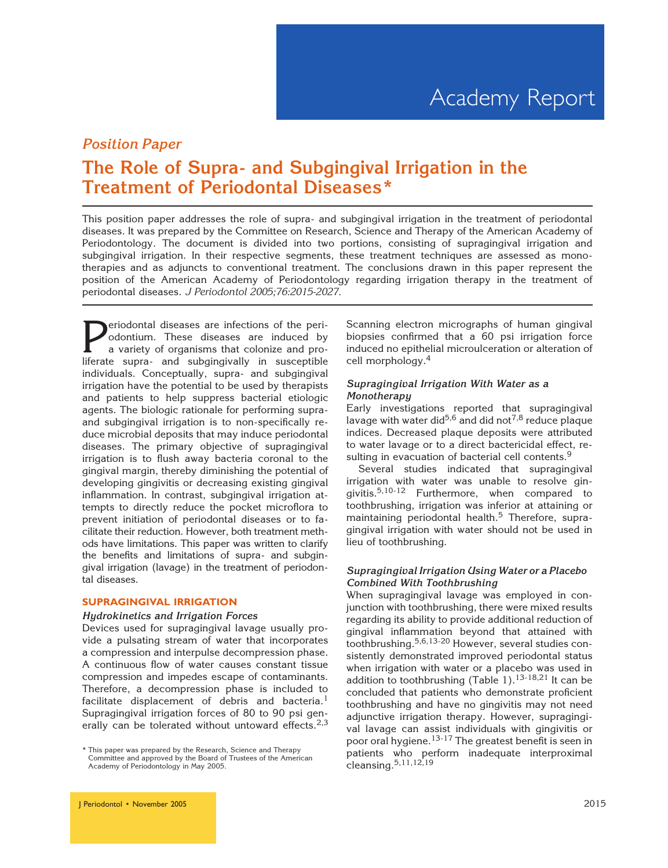## Position Paper

## The Role of Supra- and Subgingival Irrigation in the Treatment of Periodontal Diseases\*

This position paper addresses the role of supra- and subgingival irrigation in the treatment of periodontal diseases. It was prepared by the Committee on Research, Science and Therapy of the American Academy of Periodontology. The document is divided into two portions, consisting of supragingival irrigation and subgingival irrigation. In their respective segments, these treatment techniques are assessed as monotherapies and as adjuncts to conventional treatment. The conclusions drawn in this paper represent the position of the American Academy of Periodontology regarding irrigation therapy in the treatment of periodontal diseases. J Periodontol 2005;76:2015-2027.

**Periodontal diseases are infections of the periodontium.** These diseases are induced by a variety of organisms that colonize and pro-<br>liferate supra- and subgingivally in susceptible odontium. These diseases are induced by a variety of organisms that colonize and proliferate supra- and subgingivally in susceptible individuals. Conceptually, supra- and subgingival irrigation have the potential to be used by therapists and patients to help suppress bacterial etiologic agents. The biologic rationale for performing supraand subgingival irrigation is to non-specifically reduce microbial deposits that may induce periodontal diseases. The primary objective of supragingival irrigation is to flush away bacteria coronal to the gingival margin, thereby diminishing the potential of developing gingivitis or decreasing existing gingival inflammation. In contrast, subgingival irrigation attempts to directly reduce the pocket microflora to prevent initiation of periodontal diseases or to facilitate their reduction. However, both treatment methods have limitations. This paper was written to clarify the benefits and limitations of supra- and subgingival irrigation (lavage) in the treatment of periodontal diseases.

#### SUPRAGINGIVAL IRRIGATION

#### Hydrokinetics and Irrigation Forces

Devices used for supragingival lavage usually provide a pulsating stream of water that incorporates a compression and interpulse decompression phase. A continuous flow of water causes constant tissue compression and impedes escape of contaminants. Therefore, a decompression phase is included to facilitate displacement of debris and bacteria.<sup>1</sup> Supragingival irrigation forces of 80 to 90 psi generally can be tolerated without untoward effects.<sup>2,3</sup>

Scanning electron micrographs of human gingival biopsies confirmed that a 60 psi irrigation force induced no epithelial microulceration or alteration of cell morphology.<sup>4</sup>

#### Supragingival Irrigation With Water as a **Monotherapy**

Early investigations reported that supragingival lavage with water did<sup>5,6</sup> and did not<sup>7,8</sup> reduce plaque indices. Decreased plaque deposits were attributed to water lavage or to a direct bactericidal effect, resulting in evacuation of bacterial cell contents.<sup>9</sup>

Several studies indicated that supragingival irrigation with water was unable to resolve gingivitis.5,10-12 Furthermore, when compared to toothbrushing, irrigation was inferior at attaining or maintaining periodontal health. $5$  Therefore, supragingival irrigation with water should not be used in lieu of toothbrushing.

#### Supragingival Irrigation Using Water or a Placebo Combined With Toothbrushing

When supragingival lavage was employed in conjunction with toothbrushing, there were mixed results regarding its ability to provide additional reduction of gingival inflammation beyond that attained with toothbrushing.5,6,13-20 However, several studies consistently demonstrated improved periodontal status when irrigation with water or a placebo was used in addition to toothbrushing (Table 1).<sup>13-18,21</sup> It can be concluded that patients who demonstrate proficient toothbrushing and have no gingivitis may not need adjunctive irrigation therapy. However, supragingival lavage can assist individuals with gingivitis or poor oral hygiene.13-17 The greatest benefit is seen in patients who perform inadequate interproximal cleansing.5,11,12,19

<sup>\*</sup> This paper was prepared by the Research, Science and Therapy Committee and approved by the Board of Trustees of the American Academy of Periodontology in May 2005.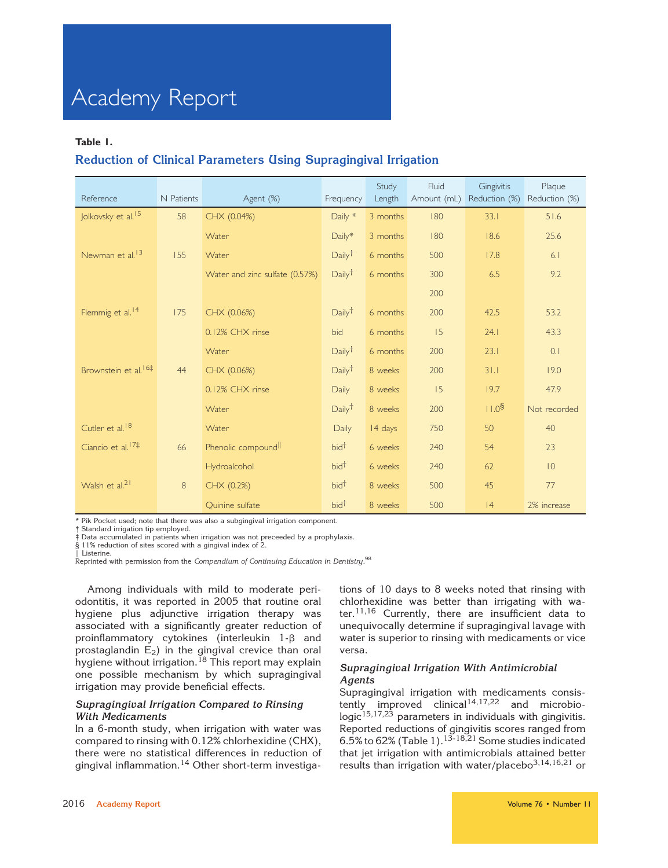#### Table 1.

## Reduction of Clinical Parameters Using Supragingival Irrigation

| Reference                        | N Patients | Agent (%)                       | Frequency          | Study<br>Length | Fluid<br>Amount (mL) | Gingivitis<br>Reduction (%) | Plaque<br>Reduction (%) |
|----------------------------------|------------|---------------------------------|--------------------|-----------------|----------------------|-----------------------------|-------------------------|
| Jolkovsky et al. <sup>15</sup>   | 58         | CHX (0.04%)                     | Daily *            | 3 months        | 180                  | 33.1                        | 51.6                    |
|                                  |            | Water                           | Daily*             | 3 months        | 180                  | 18.6                        | 25.6                    |
| Newman et al. <sup>13</sup>      | 155        | Water                           | Daily <sup>†</sup> | 6 months        | 500                  | 17.8                        | 6.1                     |
|                                  |            | Water and zinc sulfate (0.57%)  | Daily <sup>†</sup> | 6 months        | 300                  | 6.5                         | 9.2                     |
|                                  |            |                                 |                    |                 | 200                  |                             |                         |
| Flemmig et al. <sup>14</sup>     | 175        | CHX (0.06%)                     | Daily <sup>†</sup> | 6 months        | 200                  | 42.5                        | 53.2                    |
|                                  |            | 0.12% CHX rinse                 | bid                | 6 months        | 15                   | 24.1                        | 43.3                    |
|                                  |            | Water                           | Daily <sup>†</sup> | 6 months        | 200                  | 23.1                        | 0.1                     |
| Brownstein et al. <sup>16‡</sup> | 44         | CHX (0.06%)                     | Daily <sup>†</sup> | 8 weeks         | 200                  | 31.1                        | 19.0                    |
|                                  |            | 0.12% CHX rinse                 | Daily              | 8 weeks         | 15                   | 19.7                        | 47.9                    |
|                                  |            | Water                           | Daily <sup>†</sup> | 8 weeks         | 200                  | 11.0 <sup>§</sup>           | Not recorded            |
| Cutler et al. <sup>18</sup>      |            | Water                           | <b>Daily</b>       | 14 days         | 750                  | 50                          | 40                      |
| Ciancio et al. <sup>17‡</sup>    | 66         | Phenolic compound <sup>II</sup> | bid <sup>t</sup>   | 6 weeks         | 240                  | 54                          | 23                      |
|                                  |            | Hydroalcohol                    | bid <sup>t</sup>   | 6 weeks         | 240                  | 62                          | 10                      |
| Walsh et al. <sup>21</sup>       | 8          | CHX (0.2%)                      | bid <sup>t</sup>   | 8 weeks         | 500                  | 45                          | 77                      |
|                                  |            | Quinine sulfate                 | bid <sup>t</sup>   | 8 weeks         | 500                  | 4                           | 2% increase             |

\* Pik Pocket used; note that there was also a subgingival irrigation component.

† Standard irrigation tip employed.

‡ Data accumulated in patients when irrigation was not preceeded by a prophylaxis.

§ 11% reduction of sites scored with a gingival index of 2.

Listerine.

 $\stackrel{\text{h}}{\text{Reprinted}}$  with permission from the Compendium of Continuing Education in Dentistry. $^{98}$ 

Among individuals with mild to moderate periodontitis, it was reported in 2005 that routine oral hygiene plus adjunctive irrigation therapy was associated with a significantly greater reduction of proinflammatory cytokines (interleukin 1-*b* and prostaglandin  $E_2$ ) in the gingival crevice than oral hygiene without irrigation.<sup>18</sup> This report may explain one possible mechanism by which supragingival irrigation may provide beneficial effects.

#### Supragingival Irrigation Compared to Rinsing With Medicaments

In a 6-month study, when irrigation with water was compared to rinsing with 0.12% chlorhexidine (CHX), there were no statistical differences in reduction of gingival inflammation.<sup>14</sup> Other short-term investiga-

tions of 10 days to 8 weeks noted that rinsing with chlorhexidine was better than irrigating with water. $11,16$  Currently, there are insufficient data to unequivocally determine if supragingival lavage with water is superior to rinsing with medicaments or vice versa.

#### Supragingival Irrigation With Antimicrobial Agents

Supragingival irrigation with medicaments consistently improved clinical<sup>14,17,22</sup> and microbiologic $^{15,17,23}$  parameters in individuals with gingivitis. Reported reductions of gingivitis scores ranged from 6.5% to 62% (Table 1).  $13-18,21$  Some studies indicated that jet irrigation with antimicrobials attained better results than irrigation with water/placebo $^{3,14,16,21}$  or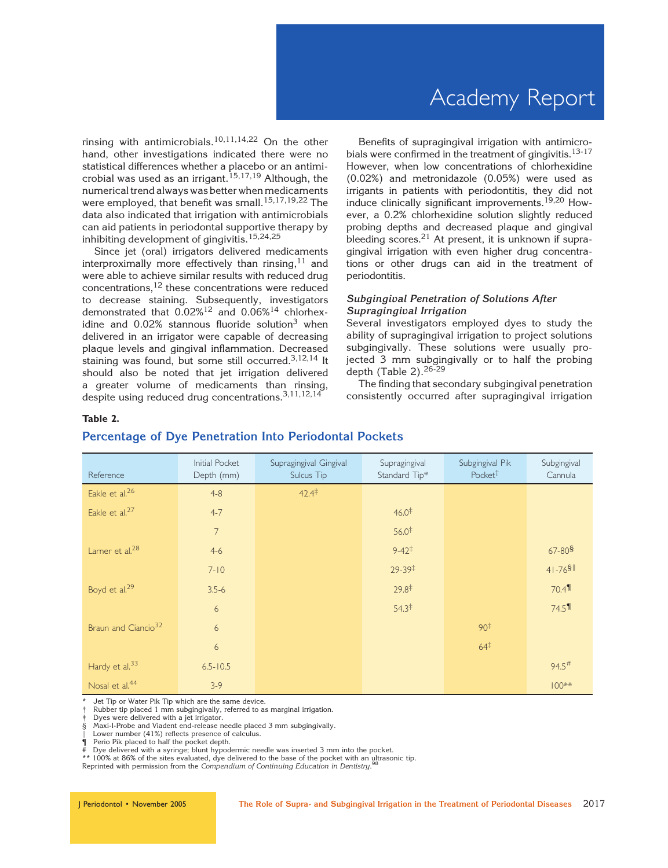rinsing with antimicrobials.<sup>10,11,14,22</sup> On the other hand, other investigations indicated there were no statistical differences whether a placebo or an antimicrobial was used as an irrigant.<sup>15,17,19</sup> Although, the numerical trend always was better when medicaments were employed, that benefit was small.<sup>15,17,19,22</sup> The data also indicated that irrigation with antimicrobials can aid patients in periodontal supportive therapy by inhibiting development of gingivitis.15,24,25

Since jet (oral) irrigators delivered medicaments interproximally more effectively than rinsing,  $11$  and were able to achieve similar results with reduced drug concentrations,12 these concentrations were reduced to decrease staining. Subsequently, investigators demonstrated that  $0.02\%^{12}$  and  $0.06\%^{14}$  chlorhexidine and 0.02% stannous fluoride solution<sup>3</sup> when delivered in an irrigator were capable of decreasing plaque levels and gingival inflammation. Decreased staining was found, but some still occurred.<sup>3,12,14</sup> It should also be noted that jet irrigation delivered a greater volume of medicaments than rinsing, despite using reduced drug concentrations.<sup>3,11,12,14</sup>

Benefits of supragingival irrigation with antimicrobials were confirmed in the treatment of gingivitis.<sup>13-17</sup> However, when low concentrations of chlorhexidine (0.02%) and metronidazole (0.05%) were used as irrigants in patients with periodontitis, they did not induce clinically significant improvements.<sup>19,20</sup> However, a 0.2% chlorhexidine solution slightly reduced probing depths and decreased plaque and gingival bleeding scores. $21$  At present, it is unknown if supragingival irrigation with even higher drug concentrations or other drugs can aid in the treatment of periodontitis.

#### Subgingival Penetration of Solutions After Supragingival Irrigation

Several investigators employed dyes to study the ability of supragingival irrigation to project solutions subgingivally. These solutions were usually projected 3 mm subgingivally or to half the probing depth (Table 2).26-29

The finding that secondary subgingival penetration consistently occurred after supragingival irrigation

#### Table 2.

#### Reference Initial Pocket Depth (mm) Supragingival Gingival Sulcus Tip Supragingival Standard Tip\* Subgingival Pik Pocket† Subgingival Cannula Eakle et al.<sup>26</sup>  $4-8$   $42.4^{\frac{+}{4}}$ Eakle et al.<sup>27</sup> 4-7 4-7 46.0<sup>‡</sup> 7 56.0<sup>‡</sup> Larner et al.<sup>28</sup> 67-80§<br>**Larner et al.<sup>28</sup> 67-80§** 7-10 29-39‡ 41-76§k Boyd et al.<sup>29</sup> 3.5-6 3.5-6 29.8<sup>‡</sup> 29.8<sup>‡</sup> 29.8<sup>‡</sup> 29.8<sup>‡</sup> 6 54.3‡ 74.5¶ Braun and Ciancio<sup>32</sup> 6 90<sup>‡</sup> 90<sup>‡</sup> 90<sup>‡</sup> 90<sup>‡</sup> 6 64 $\pm$  64 $\pm$ Hardy et al.<sup>33</sup> 6.5-10.5 6.5-10.5 6.5-10.5  $94.5^{\#}$ Nosal et al.<sup>44</sup> 3-9  $\overline{3}$ -9  $\overline{3}$  3-9  $\overline{3}$

### Percentage of Dye Penetration Into Periodontal Pockets

Jet Tip or Water Pik Tip which are the same device.

Rubber tip placed 1 mm subgingivally, referred to as marginal irrigation.

Dyes were delivered with a jet irrigator.

§ Maxi-I-Probe and Viadent end-release needle placed 3 mm subgingivally.

Lower number (41%) reflects presence of calculus.

¶ Perio Pik placed to half the pocket depth.

Dye delivered with a syringe; blunt hypodermic needle was inserted 3 mm into the pocket.

\*\* 100% at 86% of the sites evaluated, dye delivered to the base of the pocket with an ultrasonic tip.<br>Poprinted with permission from the Compandium of Continuing Education in Dentistry, 98

Reprinted with permission from the Compendium of Continuing Education in Dentistry.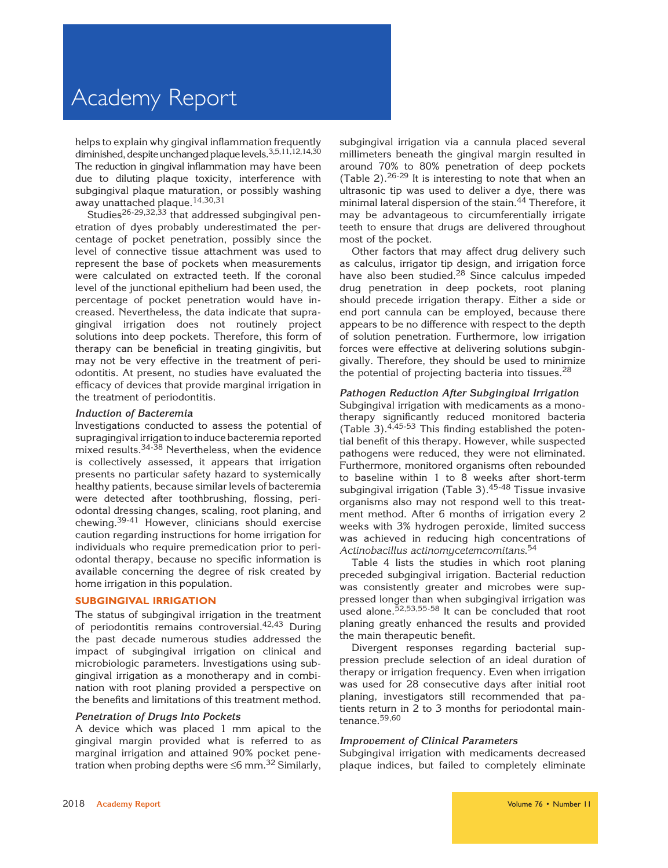helps to explain why gingival inflammation frequently diminished, despite unchanged plaque levels.<sup>3,5,11,12,14,30</sup> The reduction in gingival inflammation may have been due to diluting plaque toxicity, interference with subgingival plaque maturation, or possibly washing away unattached plaque.<sup>14,30,31</sup>

Studies<sup>26-29,32,33</sup> that addressed subgingival penetration of dyes probably underestimated the percentage of pocket penetration, possibly since the level of connective tissue attachment was used to represent the base of pockets when measurements were calculated on extracted teeth. If the coronal level of the junctional epithelium had been used, the percentage of pocket penetration would have increased. Nevertheless, the data indicate that supragingival irrigation does not routinely project solutions into deep pockets. Therefore, this form of therapy can be beneficial in treating gingivitis, but may not be very effective in the treatment of periodontitis. At present, no studies have evaluated the efficacy of devices that provide marginal irrigation in the treatment of periodontitis.

#### Induction of Bacteremia

Investigations conducted to assess the potential of supragingival irrigation to induce bacteremia reported mixed results.<sup>34-38</sup> Nevertheless, when the evidence is collectively assessed, it appears that irrigation presents no particular safety hazard to systemically healthy patients, because similar levels of bacteremia were detected after toothbrushing, flossing, periodontal dressing changes, scaling, root planing, and chewing.39-41 However, clinicians should exercise caution regarding instructions for home irrigation for individuals who require premedication prior to periodontal therapy, because no specific information is available concerning the degree of risk created by home irrigation in this population.

#### SUBGINGIVAL IRRIGATION

The status of subgingival irrigation in the treatment of periodontitis remains controversial.42,43 During the past decade numerous studies addressed the impact of subgingival irrigation on clinical and microbiologic parameters. Investigations using subgingival irrigation as a monotherapy and in combination with root planing provided a perspective on the benefits and limitations of this treatment method.

#### Penetration of Drugs Into Pockets

A device which was placed 1 mm apical to the gingival margin provided what is referred to as marginal irrigation and attained 90% pocket penetration when probing depths were  $\leq 6$  mm.<sup>32</sup> Similarly, subgingival irrigation via a cannula placed several millimeters beneath the gingival margin resulted in around 70% to 80% penetration of deep pockets (Table 2). $26-29$  It is interesting to note that when an ultrasonic tip was used to deliver a dye, there was minimal lateral dispersion of the stain.<sup>44</sup> Therefore, it may be advantageous to circumferentially irrigate teeth to ensure that drugs are delivered throughout most of the pocket.

Other factors that may affect drug delivery such as calculus, irrigator tip design, and irrigation force have also been studied.<sup>28</sup> Since calculus impeded drug penetration in deep pockets, root planing should precede irrigation therapy. Either a side or end port cannula can be employed, because there appears to be no difference with respect to the depth of solution penetration. Furthermore, low irrigation forces were effective at delivering solutions subgingivally. Therefore, they should be used to minimize the potential of projecting bacteria into tissues.  $28$ 

#### Pathogen Reduction After Subgingival Irrigation

Subgingival irrigation with medicaments as a monotherapy significantly reduced monitored bacteria (Table 3). $4,45.53$  This finding established the potential benefit of this therapy. However, while suspected pathogens were reduced, they were not eliminated. Furthermore, monitored organisms often rebounded to baseline within 1 to 8 weeks after short-term subgingival irrigation (Table 3).<sup>45-48</sup> Tissue invasive organisms also may not respond well to this treatment method. After 6 months of irrigation every 2 weeks with 3% hydrogen peroxide, limited success was achieved in reducing high concentrations of Actinobacillus actinomycetemcomitans.<sup>54</sup>

Table 4 lists the studies in which root planing preceded subgingival irrigation. Bacterial reduction was consistently greater and microbes were suppressed longer than when subgingival irrigation was used alone.<sup>52,53,55-58</sup> It can be concluded that root planing greatly enhanced the results and provided the main therapeutic benefit.

Divergent responses regarding bacterial suppression preclude selection of an ideal duration of therapy or irrigation frequency. Even when irrigation was used for 28 consecutive days after initial root planing, investigators still recommended that patients return in 2 to 3 months for periodontal maintenance.<sup>59,60</sup>

#### Improvement of Clinical Parameters

Subgingival irrigation with medicaments decreased plaque indices, but failed to completely eliminate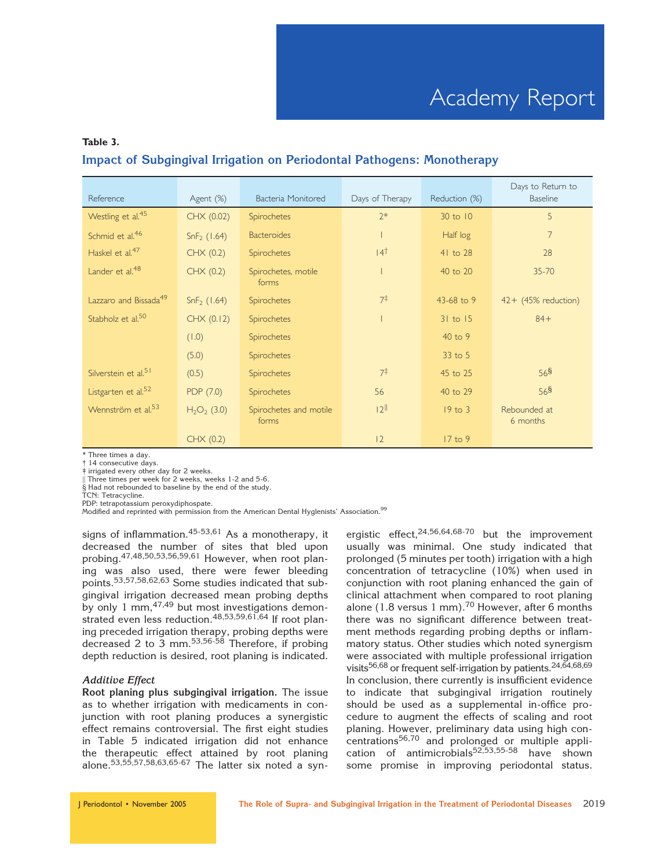## Table 3. Impact of Subgingival Irrigation on Periodontal Pathogens: Monotherapy

| Reference                         | Agent (%)               | Bacteria Monitored              | Days of Therapy | Reduction (%) | Days to Return to<br><b>Baseline</b> |
|-----------------------------------|-------------------------|---------------------------------|-----------------|---------------|--------------------------------------|
| Westling et al. <sup>45</sup>     | CHX (0.02)              | Spirochetes                     | $2*$            | 30 to 10      | 5                                    |
| Schmid et al. <sup>46</sup>       | SnF <sub>2</sub> (1.64) | <b>Bacteroides</b>              |                 | Half log      | $\overline{7}$                       |
| Haskel et al. $4/$                | CHX (0.2)               | Spirochetes                     | 14 <sup>†</sup> | 41 to 28      | 28                                   |
| Lander et al. <sup>48</sup>       | CHX (0.2)               | Spirochetes, motile<br>forms    |                 | 40 to 20      | $35 - 70$                            |
| Lazzaro and Bissada <sup>49</sup> | SnF <sub>2</sub> (1.64) | <b>Spirochetes</b>              | $7^{\ddagger}$  | 43-68 to 9    | $42+$ (45% reduction)                |
| Stabholz et al. <sup>50</sup>     | CHX (0.12)              | <b>Spirochetes</b>              |                 | $31$ to $15$  | $84+$                                |
|                                   | (1.0)                   | <b>Spirochetes</b>              |                 | 40 to 9       |                                      |
|                                   | (5.0)                   | <b>Spirochetes</b>              |                 | 33 to 5       |                                      |
| Silverstein et al. <sup>51</sup>  | (0.5)                   | <b>Spirochetes</b>              | $7^{\ddagger}$  | 45 to 25      | 56 <sup>§</sup>                      |
| Listgarten et al. <sup>52</sup>   | PDP (7.0)               | Spirochetes                     | 56              | 40 to 29      | 56 <sup>§</sup>                      |
| Wennström et al. <sup>53</sup>    | $H2O2$ (3.0)            | Spirochetes and motile<br>forms | 12              | $19$ to $3$   | Rebounded at<br>6 months             |
|                                   | CHX (0.2)               |                                 | 12              | 17 to 9       |                                      |

\* Three times a day.

† 14 consecutive days. ‡ irrigated every other day for 2 weeks.

Three times per week for 2 weeks, weeks 1-2 and 5-6.

 $\frac{1}{8}$  Had not rebounded to baseline by the end of the study.

TCN: Tetracycline.

PDP: tetrapotassium peroxydiphospate.

Modified and reprinted with permission from the American Dental Hyglenists' Association.<sup>99</sup>

signs of inflammation.  $45-53,61$  As a monotherapy, it decreased the number of sites that bled upon probing.47,48,50,53,56,59,61 However, when root planing was also used, there were fewer bleeding points.53,57,58,62,63 Some studies indicated that subgingival irrigation decreased mean probing depths by only 1 mm, <sup>47, 49</sup> but most investigations demonstrated even less reduction.<sup>48,53,59,61,64</sup> If root planing preceded irrigation therapy, probing depths were decreased 2 to 3 mm. $53,56.58$  Therefore, if probing depth reduction is desired, root planing is indicated.

#### Additive Effect

Root planing plus subgingival irrigation. The issue as to whether irrigation with medicaments in conjunction with root planing produces a synergistic effect remains controversial. The first eight studies in Table 5 indicated irrigation did not enhance the therapeutic effect attained by root planing alone.<sup>53,55</sup>,57,58,63,65-67 The latter six noted a synergistic effect,  $24,56,64,68-70$  but the improvement usually was minimal. One study indicated that prolonged (5 minutes per tooth) irrigation with a high concentration of tetracycline (10%) when used in conjunction with root planing enhanced the gain of clinical attachment when compared to root planing alone (1.8 versus 1 mm).<sup>70</sup> However, after 6 months there was no significant difference between treatment methods regarding probing depths or inflammatory status. Other studies which noted synergism were associated with multiple professional irrigation visits<sup>56,68</sup> or frequent self-irrigation by patients.<sup>24,64,68,69</sup> In conclusion, there currently is insufficient evidence to indicate that subgingival irrigation routinely should be used as a supplemental in-office procedure to augment the effects of scaling and root planing. However, preliminary data using high con $centrations<sup>56,70</sup>$  and prolonged or multiple application of antimicrobials<sup>52,53,55-58</sup> have shown some promise in improving periodontal status.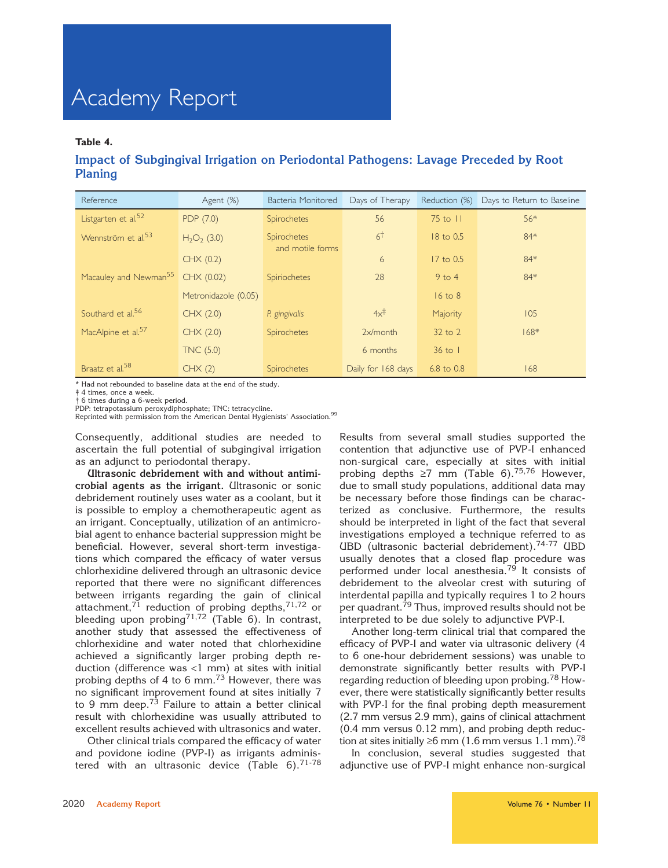#### Table 4.

### Impact of Subgingival Irrigation on Periodontal Pathogens: Lavage Preceded by Root Planing

| Reference                                    | Agent (%)            | Bacteria Monitored                     | Days of Therapy    | Reduction (%)   | Days to Return to Baseline |
|----------------------------------------------|----------------------|----------------------------------------|--------------------|-----------------|----------------------------|
| Listgarten et al. <sup>52</sup>              | PDP (7.0)            | <b>Spirochetes</b>                     | 56                 | $75$ to $11$    | 56*                        |
| Wennström et al. <sup>53</sup>               | $H2O2$ (3.0)         | <b>Spirochetes</b><br>and motile forms | 6 <sup>†</sup>     | 18 to 0.5       | 84*                        |
|                                              | CHX(0.2)             |                                        | 6                  | 17 to 0.5       | 84*                        |
| Macauley and Newman <sup>55</sup> CHX (0.02) |                      | Spiriochetes                           | 28                 | $9$ to 4        | 84*                        |
|                                              | Metronidazole (0.05) |                                        |                    | $16$ to $8$     |                            |
| Southard et al. <sup>56</sup>                | CHX (2.0)            | P. gingivalis                          | $4x^{\ddagger}$    | Majority        | 105                        |
| MacAlpine et al. <sup>57</sup>               | CHX (2.0)            | Spirochetes                            | $2x/m$ onth        | $32$ to $2$     | $168*$                     |
|                                              | <b>TNC (5.0)</b>     |                                        | 6 months           | $36$ to $\vert$ |                            |
| Braatz et al. <sup>58</sup>                  | CHX(2)               | Spirochetes                            | Daily for 168 days | 6.8 to 0.8      | 168                        |

\* Had not rebounded to baseline data at the end of the study.

‡ 4 times, once a week.

† 6 times during a 6-week period.

PDP: tetrapotassium peroxydiphosphate; TNC: tetracycline.<br>Reprinted with permission from the American Dental Hygienists' Association.<sup>99</sup>

Consequently, additional studies are needed to ascertain the full potential of subgingival irrigation as an adjunct to periodontal therapy.

Ultrasonic debridement with and without antimicrobial agents as the irrigant. Ultrasonic or sonic debridement routinely uses water as a coolant, but it is possible to employ a chemotherapeutic agent as an irrigant. Conceptually, utilization of an antimicrobial agent to enhance bacterial suppression might be beneficial. However, several short-term investigations which compared the efficacy of water versus chlorhexidine delivered through an ultrasonic device reported that there were no significant differences between irrigants regarding the gain of clinical attachment,<sup>71</sup> reduction of probing depths,<sup>71,72</sup> or bleeding upon probing<sup>71,72</sup> (Table 6). In contrast, another study that assessed the effectiveness of chlorhexidine and water noted that chlorhexidine achieved a significantly larger probing depth reduction (difference was <1 mm) at sites with initial probing depths of 4 to 6 mm.<sup>73</sup> However, there was no significant improvement found at sites initially 7 to 9 mm deep.<sup>73</sup> Failure to attain a better clinical result with chlorhexidine was usually attributed to excellent results achieved with ultrasonics and water.

Other clinical trials compared the efficacy of water and povidone iodine (PVP-I) as irrigants administered with an ultrasonic device (Table  $6$ ).<sup>71-78</sup> Results from several small studies supported the contention that adjunctive use of PVP-I enhanced non-surgical care, especially at sites with initial probing depths  $\geq 7$  mm (Table 6).<sup>75,76</sup> However, due to small study populations, additional data may be necessary before those findings can be characterized as conclusive. Furthermore, the results should be interpreted in light of the fact that several investigations employed a technique referred to as UBD (ultrasonic bacterial debridement).74-77 UBD usually denotes that a closed flap procedure was performed under local anesthesia.<sup>79</sup> It consists of debridement to the alveolar crest with suturing of interdental papilla and typically requires 1 to 2 hours per quadrant.<sup>79</sup> Thus, improved results should not be interpreted to be due solely to adjunctive PVP-I.

Another long-term clinical trial that compared the efficacy of PVP-I and water via ultrasonic delivery (4 to 6 one-hour debridement sessions) was unable to demonstrate significantly better results with PVP-I regarding reduction of bleeding upon probing.<sup>78</sup> However, there were statistically significantly better results with PVP-I for the final probing depth measurement (2.7 mm versus 2.9 mm), gains of clinical attachment (0.4 mm versus 0.12 mm), and probing depth reduction at sites initially  $\geq$ 6 mm (1.6 mm versus 1.1 mm).<sup>78</sup>

In conclusion, several studies suggested that adjunctive use of PVP-I might enhance non-surgical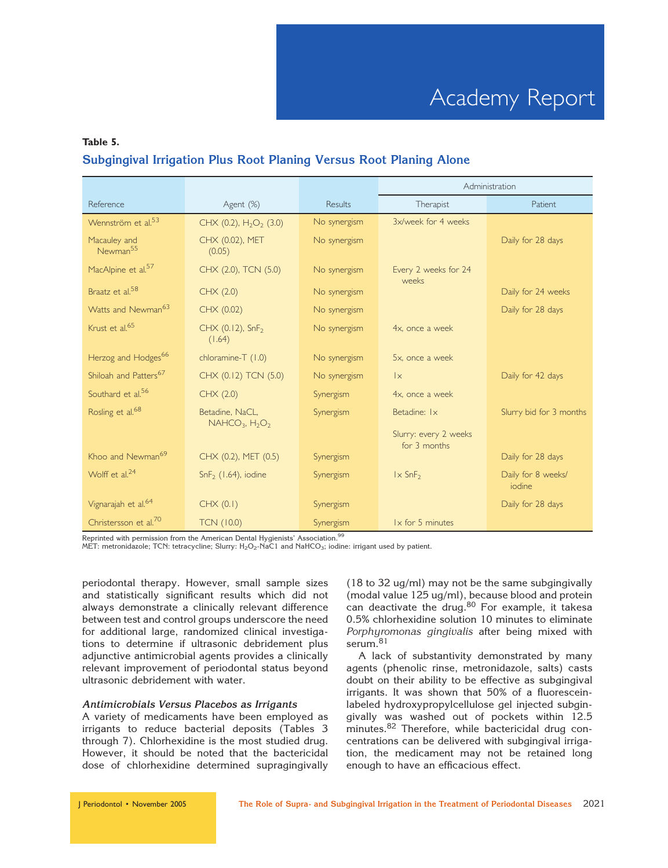## Table 5. Subgingival Irrigation Plus Root Planing Versus Root Planing Alone

|                                      |                                        |              | Administration                        |                              |
|--------------------------------------|----------------------------------------|--------------|---------------------------------------|------------------------------|
| Reference                            | Agent (%)                              | Results      | Therapist                             | Patient                      |
| Wennström et al. <sup>53</sup>       | CHX (0.2), $H_2O_2$ (3.0)              | No synergism | 3x/week for 4 weeks                   |                              |
| Macauley and<br>Newman <sup>55</sup> | CHX (0.02), MET<br>(0.05)              | No synergism |                                       | Daily for 28 days            |
| MacAlpine et al. <sup>57</sup>       | CHX (2.0), TCN (5.0)                   | No synergism | Every 2 weeks for 24<br>weeks         |                              |
| Braatz et al. <sup>58</sup>          | CHX (2.0)                              | No synergism |                                       | Daily for 24 weeks           |
| Watts and Newman <sup>63</sup>       | CHX (0.02)                             | No synergism |                                       | Daily for 28 days            |
| Krust et al. <sup>65</sup>           | CHX (0.12), SnF <sub>2</sub><br>(1.64) | No synergism | 4x, once a week                       |                              |
| Herzog and Hodges <sup>66</sup>      | chloramine-T (1.0)                     | No synergism | 5x, once a week                       |                              |
| Shiloah and Patters <sup>67</sup>    | CHX (0.12) TCN (5.0)                   | No synergism | $\mathsf{I}\times$                    | Daily for 42 days            |
| Southard et al. <sup>56</sup>        | CHX (2.0)                              | Synergism    | 4x, once a week                       |                              |
| Rosling et al. <sup>68</sup>         | Betadine, NaCL,                        | Synergism    | Betadine: Ix                          | Slurry bid for 3 months      |
|                                      | $NAHCO3, H2O2$                         |              | Slurry: every 2 weeks<br>for 3 months |                              |
| Khoo and Newman <sup>69</sup>        | CHX (0.2), MET (0.5)                   | Synergism    |                                       | Daily for 28 days            |
| Wolff et al. <sup>24</sup>           | $SnF2$ (1.64), iodine                  | Synergism    | $1 \times$ SnF <sub>2</sub>           | Daily for 8 weeks/<br>iodine |
| Vignarajah et al. <sup>64</sup>      | CHX (0.1)                              | Synergism    |                                       | Daily for 28 days            |
| Christersson et al. <sup>70</sup>    | <b>TCN (10.0)</b>                      | Synergism    | $1 \times$ for 5 minutes              |                              |

Reprinted with permission from the American Dental Hygienists' Association.<sup>99</sup>

MET: metronidazole; TCN: tetracycline; Slurry:  $H_2O_2$ -NaC1 and NaHCO<sub>3</sub>; iodine: irrigant used by patient.

periodontal therapy. However, small sample sizes and statistically significant results which did not always demonstrate a clinically relevant difference between test and control groups underscore the need for additional large, randomized clinical investigations to determine if ultrasonic debridement plus adjunctive antimicrobial agents provides a clinically relevant improvement of periodontal status beyond ultrasonic debridement with water.

#### Antimicrobials Versus Placebos as Irrigants

A variety of medicaments have been employed as irrigants to reduce bacterial deposits (Tables 3 through 7). Chlorhexidine is the most studied drug. However, it should be noted that the bactericidal dose of chlorhexidine determined supragingivally

(18 to 32 ug/ml) may not be the same subgingivally (modal value 125 ug/ml), because blood and protein can deactivate the drug.<sup>80</sup> For example, it takesa 0.5% chlorhexidine solution 10 minutes to eliminate Porphyromonas gingivalis after being mixed with serum.<sup>81</sup>

A lack of substantivity demonstrated by many agents (phenolic rinse, metronidazole, salts) casts doubt on their ability to be effective as subgingival irrigants. It was shown that 50% of a fluoresceinlabeled hydroxypropylcellulose gel injected subgingivally was washed out of pockets within 12.5 minutes.<sup>82</sup> Therefore, while bactericidal drug concentrations can be delivered with subgingival irrigation, the medicament may not be retained long enough to have an efficacious effect.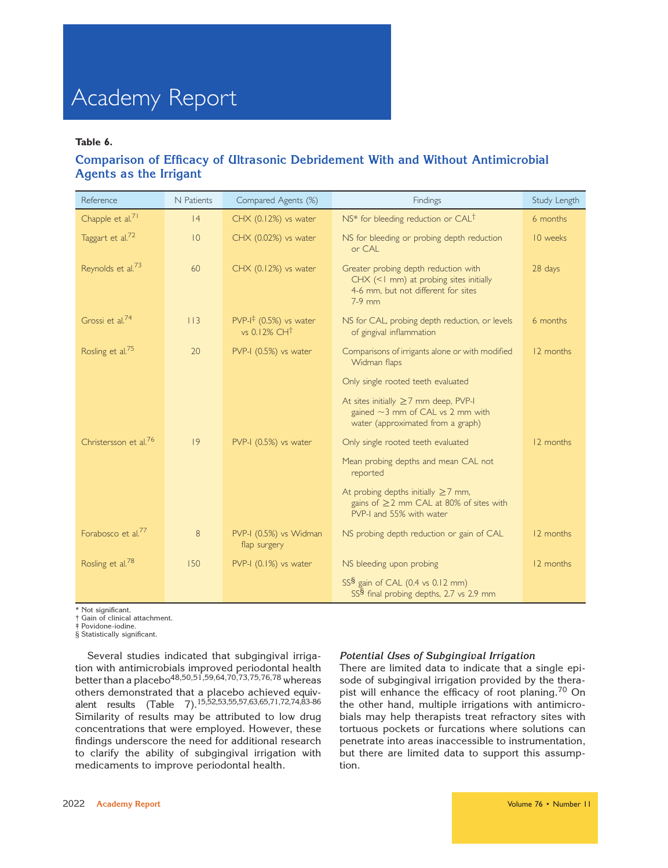#### Table 6.

## Comparison of Efficacy of Ultrasonic Debridement With and Without Antimicrobial Agents as the Irrigant

| Reference                         | N Patients  | Compared Agents (%)                                               | Findings                                                                                                                          | Study Length |
|-----------------------------------|-------------|-------------------------------------------------------------------|-----------------------------------------------------------------------------------------------------------------------------------|--------------|
| Chapple et al. <sup>71</sup>      | 4           | $CHX$ (0.12%) vs water                                            | NS* for bleeding reduction or $CAL†$                                                                                              | 6 months     |
| Taggart et al. <sup>72</sup>      | $ 0\rangle$ | CHX (0.02%) vs water                                              | NS for bleeding or probing depth reduction<br>or CAL                                                                              | 10 weeks     |
| Reynolds et al. <sup>73</sup>     | 60          | $CHX$ (0.12%) vs water                                            | Greater probing depth reduction with<br>CHX (<1 mm) at probing sites initially<br>4-6 mm, but not different for sites<br>$7-9$ mm | 28 days      |
| Grossi et al. <sup>74</sup>       | 113         | $PVP-I^{\ddagger}$ (0.5%) vs water<br>vs $0.12\%$ CH <sup>t</sup> | NS for CAL, probing depth reduction, or levels<br>of gingival inflammation                                                        | 6 months     |
| Rosling et al. <sup>75</sup>      | 20          | PVP-I (0.5%) vs water                                             | Comparisons of irrigants alone or with modified<br>Widman flaps                                                                   | 12 months    |
|                                   |             |                                                                   | Only single rooted teeth evaluated                                                                                                |              |
|                                   |             |                                                                   | At sites initially $\geq$ 7 mm deep, PVP-I<br>gained $\sim$ 3 mm of CAL vs 2 mm with<br>water (approximated from a graph)         |              |
| Christersson et al. <sup>76</sup> | 9           | PVP-I (0.5%) vs water                                             | Only single rooted teeth evaluated                                                                                                | 12 months    |
|                                   |             |                                                                   | Mean probing depths and mean CAL not<br>reported                                                                                  |              |
|                                   |             |                                                                   | At probing depths initially $\geq$ 7 mm,<br>gains of ≥2 mm CAL at 80% of sites with<br>PVP-I and 55% with water                   |              |
| Forabosco et al. <sup>77</sup>    | 8           | PVP-I (0.5%) vs Widman<br>flap surgery                            | NS probing depth reduction or gain of CAL                                                                                         | 12 months    |
| Rosling et al. <sup>78</sup>      | 150         | PVP-I (0.1%) vs water                                             | NS bleeding upon probing                                                                                                          | 12 months    |
|                                   |             |                                                                   | SS <sup>§</sup> gain of CAL (0.4 vs 0.12 mm)<br>SS <sup>§</sup> final probing depths, 2.7 vs 2.9 mm                               |              |

\* Not significant.

† Gain of clinical attachment.

‡ Povidone-iodine.

§ Statistically significant.

Several studies indicated that subgingival irrigation with antimicrobials improved periodontal health better than a placebo $48,50,51,59,64,70,73,75,76,78$  whereas others demonstrated that a placebo achieved equivalent results (Table 7).<sup>15,52</sup>,53,55,57,63,65,71,72,74,83-86 Similarity of results may be attributed to low drug concentrations that were employed. However, these findings underscore the need for additional research to clarify the ability of subgingival irrigation with medicaments to improve periodontal health.

#### Potential Uses of Subgingival Irrigation

There are limited data to indicate that a single episode of subgingival irrigation provided by the therapist will enhance the efficacy of root planing.<sup>70</sup> On the other hand, multiple irrigations with antimicrobials may help therapists treat refractory sites with tortuous pockets or furcations where solutions can penetrate into areas inaccessible to instrumentation, but there are limited data to support this assumption.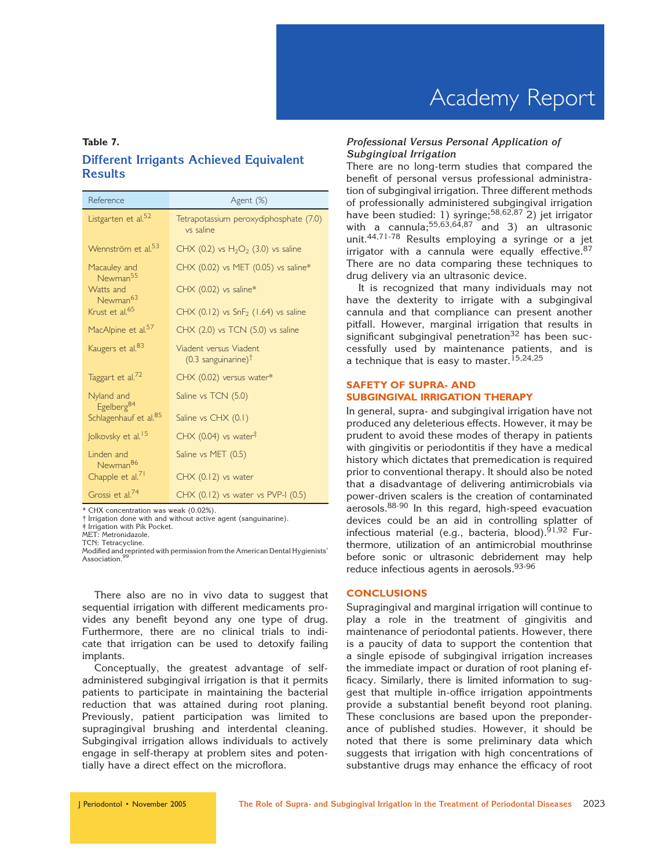## Table 7. Different Irrigants Achieved Equivalent Results

| Reference                                                   | Agent (%)                                                   |
|-------------------------------------------------------------|-------------------------------------------------------------|
| Listgarten et al. <sup>52</sup>                             | Tetrapotassium peroxydiphosphate (7.0)<br>vs saline         |
| Wennström et al. <sup>53</sup>                              | CHX (0.2) vs $H_2O_2$ (3.0) vs saline                       |
| Macauley and<br>Newman <sup>55</sup>                        | CHX (0.02) vs MET (0.05) vs saline*                         |
| Watts and<br>Newman <sup>63</sup>                           | CHX (0.02) vs saline*                                       |
| Krust et al. <sup>65</sup>                                  | CHX $(0.12)$ vs SnF <sub>2</sub> $(1.64)$ vs saline         |
| MacAlpine et al. <sup>57</sup>                              | CHX (2.0) vs TCN (5.0) vs saline                            |
| Kaugers et al. <sup>83</sup>                                | Viadent versus Viadent<br>$(0.3$ sanguinarine) <sup>†</sup> |
| Taggart et al. <sup>72</sup>                                | CHX (0.02) versus water*                                    |
| Nyland and                                                  | Saline vs TCN (5.0)                                         |
| Egelberg <sup>84</sup><br>Schlagenhauf et al. <sup>85</sup> | Saline vs CHX (0.1)                                         |
| Jolkovsky et al. <sup>15</sup>                              | CHX (0.04) vs water <sup><math>\ddagger</math></sup>        |
| Linden and<br>Newman <sup>86</sup>                          | Saline vs MET (0.5)                                         |
| Chapple et al. <sup>71</sup>                                | $CHX$ (0.12) vs water                                       |
| Grossi et al. <sup>74</sup>                                 | CHX (0.12) vs water vs PVP-I (0.5)                          |

\* CHX concentration was weak (0.02%).

Irrigation done with and without active agent (sanguinarine).

‡ Irrigation with Pik Pocket.

TCN: Tetracycline.

Modified and reprinted with permission from the American Dental Hygienists'<br>Acceptation 99 Association.

There also are no in vivo data to suggest that sequential irrigation with different medicaments provides any benefit beyond any one type of drug. Furthermore, there are no clinical trials to indicate that irrigation can be used to detoxify failing implants.

Conceptually, the greatest advantage of selfadministered subgingival irrigation is that it permits patients to participate in maintaining the bacterial reduction that was attained during root planing. Previously, patient participation was limited to supragingival brushing and interdental cleaning. Subgingival irrigation allows individuals to actively engage in self-therapy at problem sites and potentially have a direct effect on the microflora.

#### Professional Versus Personal Application of Subgingival Irrigation

There are no long-term studies that compared the benefit of personal versus professional administration of subgingival irrigation. Three different methods of professionally administered subgingival irrigation have been studied: 1) syringe;<sup>58,62,87</sup> 2) jet irrigator with a cannula;  $55,63,64,87$  and 3) an ultrasonic unit.44,71-78 Results employing a syringe or a jet irrigator with a cannula were equally effective.  $87$ There are no data comparing these techniques to drug delivery via an ultrasonic device.

It is recognized that many individuals may not have the dexterity to irrigate with a subgingival cannula and that compliance can present another pitfall. However, marginal irrigation that results in significant subgingival penetration $32$  has been successfully used by maintenance patients, and is a technique that is easy to master.<sup>15,24,25</sup>

#### SAFETY OF SUPRA- AND SUBGINGIVAL IRRIGATION THERAPY

In general, supra- and subgingival irrigation have not produced any deleterious effects. However, it may be prudent to avoid these modes of therapy in patients with gingivitis or periodontitis if they have a medical history which dictates that premedication is required prior to conventional therapy. It should also be noted that a disadvantage of delivering antimicrobials via power-driven scalers is the creation of contaminated aerosols.88-90 In this regard, high-speed evacuation devices could be an aid in controlling splatter of infectious material (e.g., bacteria, blood). $91,92$  Furthermore, utilization of an antimicrobial mouthrinse before sonic or ultrasonic debridement may help reduce infectious agents in aerosols.<sup>93-96</sup>

#### **CONCLUSIONS**

Supragingival and marginal irrigation will continue to play a role in the treatment of gingivitis and maintenance of periodontal patients. However, there is a paucity of data to support the contention that a single episode of subgingival irrigation increases the immediate impact or duration of root planing efficacy. Similarly, there is limited information to suggest that multiple in-office irrigation appointments provide a substantial benefit beyond root planing. These conclusions are based upon the preponderance of published studies. However, it should be noted that there is some preliminary data which suggests that irrigation with high concentrations of substantive drugs may enhance the efficacy of root

MET: Metronidazole.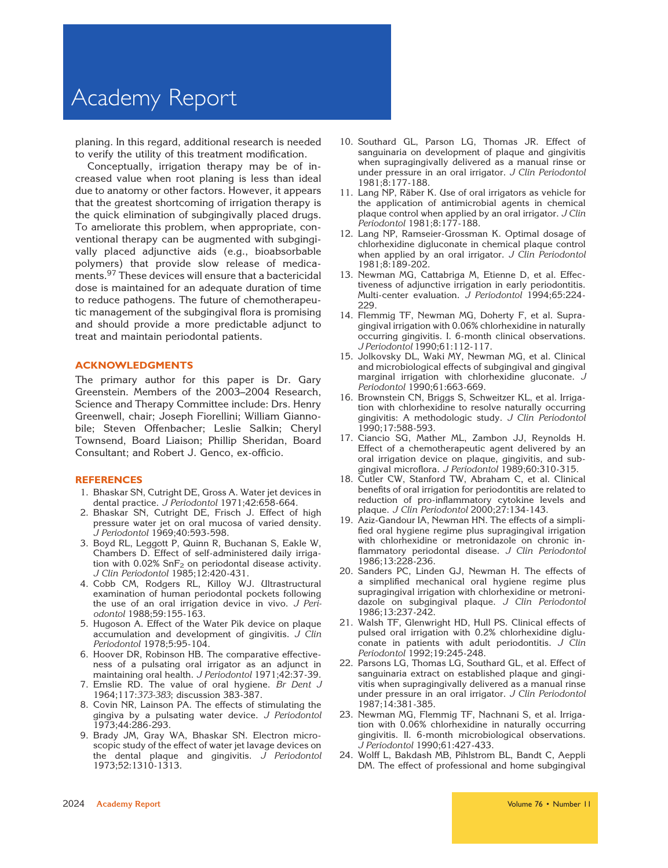# Academy Report

planing. In this regard, additional research is needed to verify the utility of this treatment modification.

Conceptually, irrigation therapy may be of increased value when root planing is less than ideal due to anatomy or other factors. However, it appears that the greatest shortcoming of irrigation therapy is the quick elimination of subgingivally placed drugs. To ameliorate this problem, when appropriate, conventional therapy can be augmented with subgingivally placed adjunctive aids (e.g., bioabsorbable polymers) that provide slow release of medicaments.<sup>97</sup> These devices will ensure that a bactericidal dose is maintained for an adequate duration of time to reduce pathogens. The future of chemotherapeutic management of the subgingival flora is promising and should provide a more predictable adjunct to treat and maintain periodontal patients.

#### ACKNOWLEDGMENTS

The primary author for this paper is Dr. Gary Greenstein. Members of the 2003–2004 Research, Science and Therapy Committee include: Drs. Henry Greenwell, chair; Joseph Fiorellini; William Giannobile; Steven Offenbacher; Leslie Salkin; Cheryl Townsend, Board Liaison; Phillip Sheridan, Board Consultant; and Robert J. Genco, ex-officio.

#### REFERENCES

- 1. Bhaskar SN, Cutright DE, Gross A. Water jet devices in dental practice. J Periodontol 1971;42:658-664.
- 2. Bhaskar SN, Cutright DE, Frisch J. Effect of high pressure water jet on oral mucosa of varied density. J Periodontol 1969;40:593-598.
- 3. Boyd RL, Leggott P, Quinn R, Buchanan S, Eakle W, Chambers D. Effect of self-administered daily irrigation with  $0.02\%$  SnF<sub>2</sub> on periodontal disease activity. J Clin Periodontol 1985;12:420-431.
- 4. Cobb CM, Rodgers RL, Killoy WJ. Ultrastructural examination of human periodontal pockets following the use of an oral irrigation device in vivo. J Periodontol 1988;59:155-163.
- 5. Hugoson A. Effect of the Water Pik device on plaque accumulation and development of gingivitis. J Clin Periodontol 1978;5:95-104.
- 6. Hoover DR, Robinson HB. The comparative effectiveness of a pulsating oral irrigator as an adjunct in maintaining oral health. J Periodontol 1971;42:37-39.
- 7. Emslie RD. The value of oral hygiene. Br Dent J 1964;117:373-383; discussion 383-387.
- 8. Covin NR, Lainson PA. The effects of stimulating the gingiva by a pulsating water device. J Periodontol 1973;44:286-293.
- 9. Brady JM, Gray WA, Bhaskar SN. Electron microscopic study of the effect of water jet lavage devices on the dental plaque and gingivitis. J Periodontol 1973;52:1310-1313.
- 10. Southard GL, Parson LG, Thomas JR. Effect of sanguinaria on development of plaque and gingivitis when supragingivally delivered as a manual rinse or under pressure in an oral irrigator. J Clin Periodontol 1981;8:177-188.
- 11. Lang NP, Räber K. Use of oral irrigators as vehicle for the application of antimicrobial agents in chemical plaque control when applied by an oral irrigator. J Clin Periodontol 1981;8:177-188.
- 12. Lang NP, Ramseier-Grossman K. Optimal dosage of chlorhexidine digluconate in chemical plaque control when applied by an oral irrigator.  $J$  Clin Periodontol 1981;8:189-202.
- 13. Newman MG, Cattabriga M, Etienne D, et al. Effectiveness of adjunctive irrigation in early periodontitis. Multi-center evaluation. J Periodontol 1994;65:224- 229.
- 14. Flemmig TF, Newman MG, Doherty F, et al. Supragingival irrigation with 0.06% chlorhexidine in naturally occurring gingivitis. I. 6-month clinical observations. J Periodontol 1990;61:112-117.
- 15. Jolkovsky DL, Waki MY, Newman MG, et al. Clinical and microbiological effects of subgingival and gingival marginal irrigation with chlorhexidine gluconate. J Periodontol 1990;61:663-669.
- 16. Brownstein CN, Briggs S, Schweitzer KL, et al. Irrigation with chlorhexidine to resolve naturally occurring gingivitis: A methodologic study. J Clin Periodontol 1990;17:588-593.
- 17. Ciancio SG, Mather ML, Zambon JJ, Reynolds H. Effect of a chemotherapeutic agent delivered by an oral irrigation device on plaque, gingivitis, and subgingival microflora. J Periodontol 1989;60:310-315.
- 18. Cutler CW, Stanford TW, Abraham C, et al. Clinical benefits of oral irrigation for periodontitis are related to reduction of pro-inflammatory cytokine levels and plaque. J Clin Periodontol 2000;27:134-143.
- 19. Aziz-Gandour IA, Newman HN. The effects of a simplified oral hygiene regime plus supragingival irrigation with chlorhexidine or metronidazole on chronic inflammatory periodontal disease. J Clin Periodontol 1986;13:228-236.
- 20. Sanders PC, Linden GJ, Newman H. The effects of a simplified mechanical oral hygiene regime plus supragingival irrigation with chlorhexidine or metronidazole on subgingival plaque. J Clin Periodontol 1986;13:237-242.
- 21. Walsh TF, Glenwright HD, Hull PS. Clinical effects of pulsed oral irrigation with 0.2% chlorhexidine digluconate in patients with adult periodontitis.  $J$  Clin Periodontol 1992;19:245-248.
- 22. Parsons LG, Thomas LG, Southard GL, et al. Effect of sanguinaria extract on established plaque and gingivitis when supragingivally delivered as a manual rinse under pressure in an oral irrigator. J Clin Periodontol 1987;14:381-385.
- 23. Newman MG, Flemmig TF, Nachnani S, et al. Irrigation with 0.06% chlorhexidine in naturally occurring gingivitis. II. 6-month microbiological observations. J Periodontol 1990;61:427-433.
- 24. Wolff L, Bakdash MB, Pihlstrom BL, Bandt C, Aeppli DM. The effect of professional and home subgingival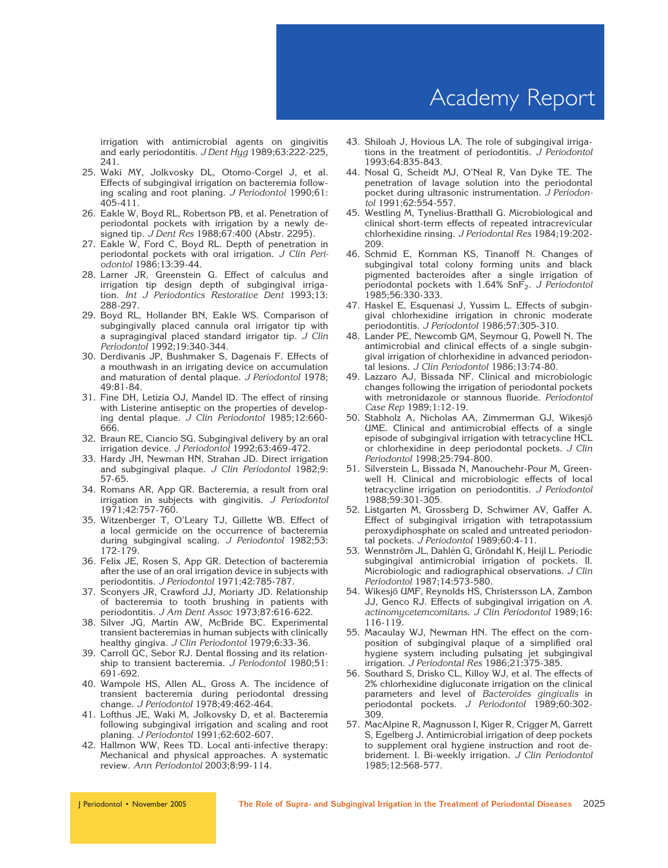irrigation with antimicrobial agents on gingivitis and early periodontitis. J Dent Hyg 1989;63:222-225, 241.

- 25. Waki MY, Jolkvosky DL, Otomo-Corgel J, et al. Effects of subgingival irrigation on bacteremia following scaling and root planing. J Periodontol 1990;61: 405-411.
- 26. Eakle W, Boyd RL, Robertson PB, et al. Penetration of periodontal pockets with irrigation by a newly designed tip. J Dent Res 1988;67:400 (Abstr. 2295).
- 27. Eakle W, Ford C, Boyd RL. Depth of penetration in periodontal pockets with oral irrigation. J Clin Periodontol 1986;13:39-44.
- 28. Larner JR, Greenstein G. Effect of calculus and irrigation tip design depth of subgingival irrigation. Int J Periodontics Restorative Dent 1993;13: 288-297.
- 29. Boyd RL, Hollander BN, Eakle WS. Comparison of subgingivally placed cannula oral irrigator tip with a supragingival placed standard irrigator tip. J Clin Periodontol 1992;19:340-344.
- 30. Derdivanis JP, Bushmaker S, Dagenais F. Effects of a mouthwash in an irrigating device on accumulation and maturation of dental plaque. J Periodontol 1978; 49:81-84.
- 31. Fine DH, Letizia OJ, Mandel ID. The effect of rinsing with Listerine antiseptic on the properties of developing dental plaque. J Clin Periodontol 1985;12:660- 666.
- 32. Braun RE, Ciancio SG. Subgingival delivery by an oral irrigation device. J Periodontol 1992;63:469-472.
- 33. Hardy JH, Newman HN, Strahan JD. Direct irrigation and subgingival plaque.  $J$  Clin Periodontol 1982;9: 57-65.
- 34. Romans AR, App GR. Bacteremia, a result from oral irrigation in subjects with gingivitis. J Periodontol 1971;42:757-760.
- 35. Witzenberger T, O'Leary TJ, Gillette WB. Effect of a local germicide on the occurrence of bacteremia during subgingival scaling. J Periodontol 1982;53: 172-179.
- 36. Felix JE, Rosen S, App GR. Detection of bacteremia after the use of an oral irrigation device in subjects with periodontitis. J Periodontol 1971;42:785-787.
- 37. Sconyers JR, Crawford JJ, Moriarty JD. Relationship of bacteremia to tooth brushing in patients with periodontitis. J Am Dent Assoc 1973;87:616-622.
- 38. Silver JG, Martin AW, McBride BC. Experimental transient bacteremias in human subjects with clinically healthy gingiva. J Clin Periodontol 1979;6:33-36.
- 39. Carroll GC, Sebor RJ. Dental flossing and its relationship to transient bacteremia. J Periodontol 1980;51: 691-692.
- 40. Wampole HS, Allen AL, Gross A. The incidence of transient bacteremia during periodontal dressing change. J Periodontol 1978;49:462-464.
- 41. Lofthus JE, Waki M, Jolkovsky D, et al. Bacteremia following subgingival irrigation and scaling and root planing. J Periodontol 1991;62:602-607.
- 42. Hallmon WW, Rees TD. Local anti-infective therapy: Mechanical and physical approaches. A systematic review. Ann Periodontol 2003;8:99-114.
- 43. Shiloah J, Hovious LA. The role of subgingival irrigations in the treatment of periodontitis. J Periodontol 1993;64:835-843.
- 44. Nosal G, Scheidt MJ, O'Neal R, Van Dyke TE. The penetration of lavage solution into the periodontal pocket during ultrasonic instrumentation. J Periodontol 1991;62:554-557.
- 45. Westling M, Tynelius-Bratthall G. Microbiological and clinical short-term effects of repeated intracrevicular chlorhexidine rinsing. J Periodontal Res 1984;19:202- 209.
- 46. Schmid E, Kornman KS, Tinanoff N. Changes of subgingival total colony forming units and black pigmented bacteroides after a single irrigation of periodontal pockets with  $1.64\%$  SnF<sub>2</sub>. J Periodontol 1985;56:330-333.
- 47. Haskel E, Esquenasi J, Yussim L. Effects of subgingival chlorhexidine irrigation in chronic moderate periodontitis. J Periodontol 1986;57:305-310.
- 48. Lander PE, Newcomb GM, Seymour G, Powell N. The antimicrobial and clinical effects of a single subgingival irrigation of chlorhexidine in advanced periodontal lesions. J Clin Periodontol 1986;13:74-80.
- 49. Lazzaro AJ, Bissada NF. Clinical and microbiologic changes following the irrigation of periodontal pockets with metronidazole or stannous fluoride. Periodontol Case Rep 1989;1:12-19.
- 50. Stabholz A, Nicholas AA, Zimmerman GJ, Wikesjö UME. Clinical and antimicrobial effects of a single episode of subgingival irrigation with tetracycline HCL or chlorhexidine in deep periodontal pockets. J Clin Periodontol 1998;25:794-800.
- 51. Silverstein L, Bissada N, Manouchehr-Pour M, Greenwell H. Clinical and microbiologic effects of local tetracycline irrigation on periodontitis. J Periodontol 1988;59:301-305.
- 52. Listgarten M, Grossberg D, Schwimer AV, Gaffer A. Effect of subgingival irrigation with tetrapotassium peroxydiphosphate on scaled and untreated periodontal pockets. J Periodontol 1989;60:4-11.
- 53. Wennström JL, Dahlén G, Gröndahl K, Heijl L. Periodic subgingival antimicrobial irrigation of pockets. II. Microbiologic and radiographical observations. J Clin Periodontol 1987;14:573-580.
- 54. Wikesjö UMF, Reynolds HS, Christersson LA, Zambon JJ, Genco RJ. Effects of subgingival irrigation on A. actinomycetemcomitans. J Clin Periodontol 1989;16: 116-119.
- 55. Macaulay WJ, Newman HN. The effect on the composition of subgingival plaque of a simplified oral hygiene system including pulsating jet subgingival irrigation. J Periodontal Res 1986;21:375-385.
- 56. Southard S, Drisko CL, Killoy WJ, et al. The effects of 2% chlorhexidine digluconate irrigation on the clinical parameters and level of Bacteroides gingivalis in periodontal pockets. J Periodontol 1989;60:302- 309.
- 57. MacAlpine R, Magnusson I, Kiger R, Crigger M, Garrett S, Egelberg J. Antimicrobial irrigation of deep pockets to supplement oral hygiene instruction and root debridement. I. Bi-weekly irrigation. J Clin Periodontol 1985;12:568-577.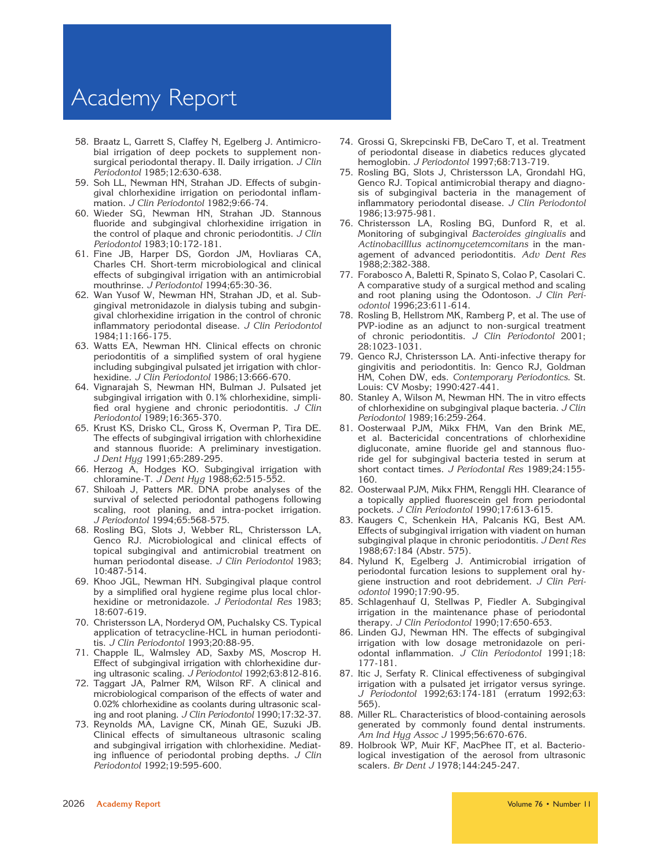# Academy Report

- 58. Braatz L, Garrett S, Claffey N, Egelberg J. Antimicrobial irrigation of deep pockets to supplement nonsurgical periodontal therapy. II. Daily irrigation. J Clin Periodontol 1985;12:630-638.
- 59. Soh LL, Newman HN, Strahan JD. Effects of subgingival chlorhexidine irrigation on periodontal inflammation. J Clin Periodontol 1982;9:66-74.
- 60. Wieder SG, Newman HN, Strahan JD. Stannous fluoride and subgingival chlorhexidine irrigation in the control of plaque and chronic periodontitis. J Clin Periodontol 1983;10:172-181.
- 61. Fine JB, Harper DS, Gordon JM, Hovliaras CA, Charles CH. Short-term microbiological and clinical effects of subgingival irrigation with an antimicrobial mouthrinse. J Periodontol 1994;65:30-36.
- 62. Wan Yusof W, Newman HN, Strahan JD, et al. Subgingival metronidazole in dialysis tubing and subgingival chlorhexidine irrigation in the control of chronic inflammatory periodontal disease. J Clin Periodontol 1984;11:166-175.
- 63. Watts EA, Newman HN. Clinical effects on chronic periodontitis of a simplified system of oral hygiene including subgingival pulsated jet irrigation with chlorhexidine. J Clin Periodontol 1986;13:666-670.
- 64. Vignarajah S, Newman HN, Bulman J. Pulsated jet subgingival irrigation with 0.1% chlorhexidine, simplified oral hygiene and chronic periodontitis. J Clin Periodontol 1989;16:365-370.
- 65. Krust KS, Drisko CL, Gross K, Overman P, Tira DE. The effects of subgingival irrigation with chlorhexidine and stannous fluoride: A preliminary investigation. J Dent Hyg 1991;65:289-295.
- 66. Herzog A, Hodges KO. Subgingival irrigation with chloramine-T. J Dent Hyg 1988;62:515-552.
- 67. Shiloah J, Patters MR. DNA probe analyses of the survival of selected periodontal pathogens following scaling, root planing, and intra-pocket irrigation. J Periodontol 1994;65:568-575.
- 68. Rosling BG, Slots J, Webber RL, Christersson LA, Genco RJ. Microbiological and clinical effects of topical subgingival and antimicrobial treatment on human periodontal disease. J Clin Periodontol 1983; 10:487-514.
- 69. Khoo JGL, Newman HN. Subgingival plaque control by a simplified oral hygiene regime plus local chlorhexidine or metronidazole. J Periodontal Res 1983; 18:607-619.
- 70. Christersson LA, Norderyd OM, Puchalsky CS. Typical application of tetracycline-HCL in human periodontitis. J Clin Periodontol 1993;20:88-95.
- 71. Chapple IL, Walmsley AD, Saxby MS, Moscrop H. Effect of subgingival irrigation with chlorhexidine during ultrasonic scaling. J Periodontol 1992;63:812-816.
- 72. Taggart JA, Palmer RM, Wilson RF. A clinical and microbiological comparison of the effects of water and 0.02% chlorhexidine as coolants during ultrasonic scaling and root planing. J Clin Periodontol 1990;17:32-37.
- 73. Reynolds MA, Lavigne CK, Minah GE, Suzuki JB. Clinical effects of simultaneous ultrasonic scaling and subgingival irrigation with chlorhexidine. Mediating influence of periodontal probing depths. J Clin Periodontol 1992;19:595-600.
- 74. Grossi G, Skrepcinski FB, DeCaro T, et al. Treatment of periodontal disease in diabetics reduces glycated hemoglobin. J Periodontol 1997;68:713-719.
- 75. Rosling BG, Slots J, Christersson LA, Grondahl HG, Genco RJ. Topical antimicrobial therapy and diagnosis of subgingival bacteria in the management of inflammatory periodontal disease. J Clin Periodontol 1986;13:975-981.
- 76. Christersson LA, Rosling BG, Dunford R, et al. Monitoring of subgingival Bacteroides gingivalis and Actinobacilllus actinomycetemcomitans in the management of advanced periodontitis. Adv Dent Res 1988;2:382-388.
- 77. Forabosco A, Baletti R, Spinato S, Colao P, Casolari C. A comparative study of a surgical method and scaling and root planing using the Odontoson. J Clin Periodontol 1996;23:611-614.
- 78. Rosling B, Hellstrom MK, Ramberg P, et al. The use of PVP-iodine as an adjunct to non-surgical treatment of chronic periodontitis. J Clin Periodontol 2001; 28:1023-1031.
- 79. Genco RJ, Christersson LA. Anti-infective therapy for gingivitis and periodontitis. In: Genco RJ, Goldman HM, Cohen DW, eds. Contemporary Periodontics. St. Louis: CV Mosby; 1990:427-441.
- 80. Stanley A, Wilson M, Newman HN. The in vitro effects of chlorhexidine on subgingival plaque bacteria. J Clin Periodontol 1989;16:259-264.
- 81. Oosterwaal PJM, Mikx FHM, Van den Brink ME, et al. Bactericidal concentrations of chlorhexidine digluconate, amine fluoride gel and stannous fluoride gel for subgingival bacteria tested in serum at short contact times. J Periodontal Res 1989;24:155- 160.
- 82. Oosterwaal PJM, Mikx FHM, Renggli HH. Clearance of a topically applied fluorescein gel from periodontal pockets. J Clin Periodontol 1990;17:613-615.
- 83. Kaugers C, Schenkein HA, Palcanis KG, Best AM. Effects of subgingival irrigation with viadent on human subgingival plaque in chronic periodontitis. J Dent Res 1988;67:184 (Abstr. 575).
- 84. Nylund K, Egelberg J. Antimicrobial irrigation of periodontal furcation lesions to supplement oral hygiene instruction and root debridement. J Clin Periodontol 1990;17:90-95.
- 85. Schlagenhauf U, Stellwas P, Fiedler A. Subgingival irrigation in the maintenance phase of periodontal therapy. J Clin Periodontol 1990;17:650-653.
- 86. Linden GJ, Newman HN. The effects of subgingival irrigation with low dosage metronidazole on periodontal inflammation. J Clin Periodontol 1991;18: 177-181.
- 87. Itic J, Serfaty R. Clinical effectiveness of subgingival irrigation with a pulsated jet irrigator versus syringe. J Periodontol 1992;63:174-181 (erratum 1992;63: 565).
- 88. Miller RL. Characteristics of blood-containing aerosols generated by commonly found dental instruments. Am Ind Hyg Assoc J 1995;56:670-676.
- 89. Holbrook WP, Muir KF, MacPhee IT, et al. Bacteriological investigation of the aerosol from ultrasonic scalers. Br Dent J 1978;144:245-247.